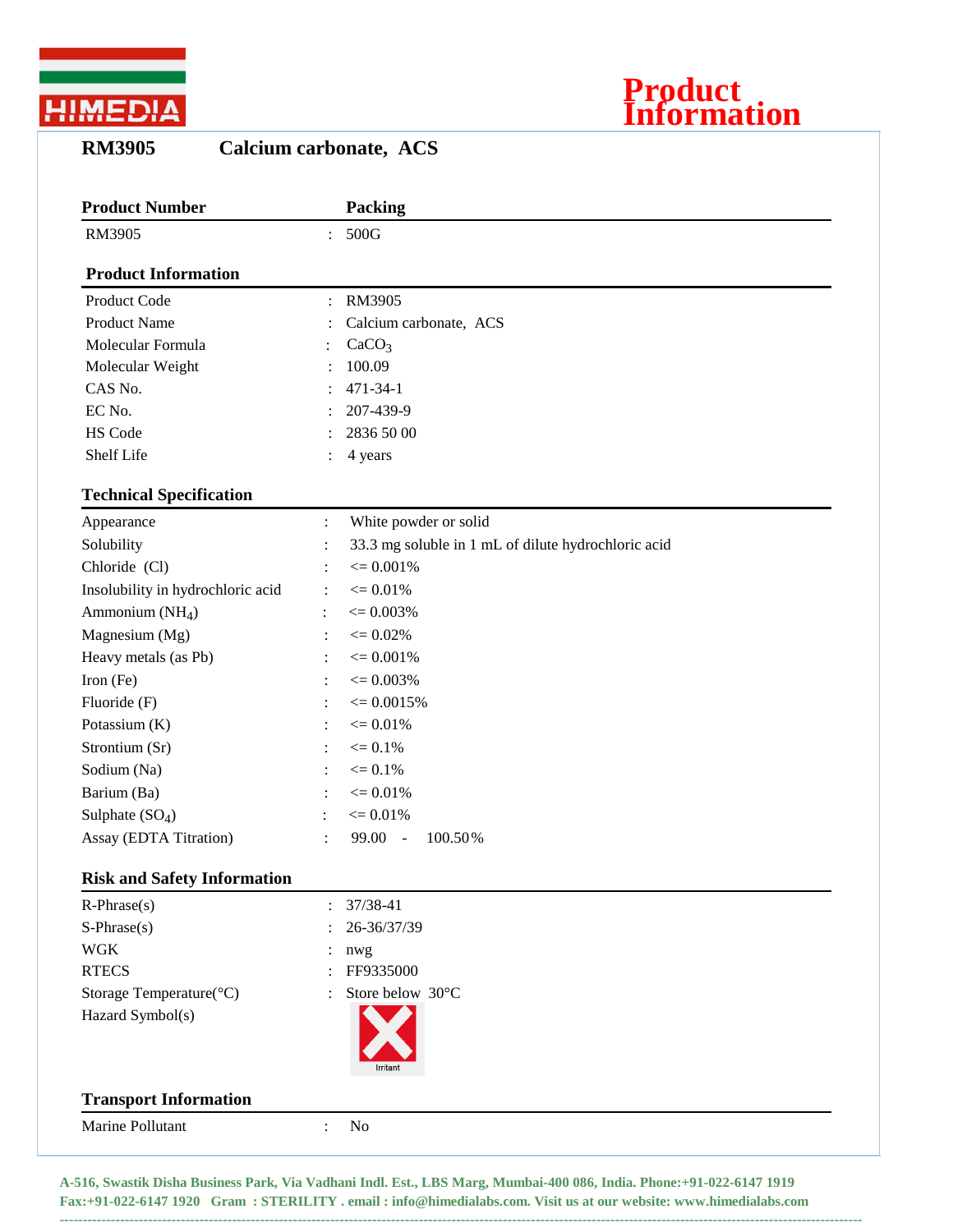



**RM3905 Calcium carbonate, ACS**

| <b>Product Number</b>              |                | Packing                                             |
|------------------------------------|----------------|-----------------------------------------------------|
| RM3905                             | $\ddot{\cdot}$ | 500G                                                |
| <b>Product Information</b>         |                |                                                     |
| Product Code                       | $\ddot{\cdot}$ | RM3905                                              |
| <b>Product Name</b>                |                | Calcium carbonate, ACS                              |
| Molecular Formula                  |                | CaCO <sub>3</sub>                                   |
| Molecular Weight                   |                | 100.09                                              |
| CAS No.                            |                | $471 - 34 - 1$                                      |
| EC No.                             |                | 207-439-9                                           |
| HS Code                            |                | 2836 50 00                                          |
| Shelf Life                         |                | 4 years                                             |
| <b>Technical Specification</b>     |                |                                                     |
| Appearance                         | $\ddot{\cdot}$ | White powder or solid                               |
| Solubility                         |                | 33.3 mg soluble in 1 mL of dilute hydrochloric acid |
| Chloride (Cl)                      |                | $\leq 0.001\%$                                      |
| Insolubility in hydrochloric acid  | $\ddot{\cdot}$ | $\epsilon = 0.01\%$                                 |
| Ammonium $(NH_4)$                  | $\ddot{\cdot}$ | $\epsilon = 0.003\%$                                |
| Magnesium (Mg)                     | :              | $\epsilon = 0.02\%$                                 |
| Heavy metals (as Pb)               | $\ddot{\cdot}$ | $\epsilon = 0.001\%$                                |
| Iron (Fe)                          |                | $\epsilon = 0.003\%$                                |
| Fluoride (F)                       |                | $\epsilon = 0.0015\%$                               |
| Potassium (K)                      | $\ddot{\cdot}$ | $\epsilon = 0.01\%$                                 |
| Strontium (Sr)                     | :              | $\epsilon = 0.1\%$                                  |
| Sodium (Na)                        | $\ddot{\cdot}$ | $\leq 0.1\%$                                        |
| Barium (Ba)                        |                | $\epsilon = 0.01\%$                                 |
| Sulphate $(SO_4)$                  |                | $\leq 0.01\%$                                       |
| Assay (EDTA Titration)             | :              | 99.00<br>100.50%<br>$\sim$                          |
| <b>Risk and Safety Information</b> |                |                                                     |
| $R$ -Phrase $(s)$                  |                | 37/38-41                                            |
| $S-Phrase(s)$                      |                | 26-36/37/39                                         |
| <b>WGK</b>                         |                | nwg                                                 |
| <b>RTECS</b>                       |                | FF9335000                                           |
| Storage Temperature(°C)            |                | Store below 30°C                                    |
| Hazard Symbol(s)                   |                | Irritan                                             |
| <b>Transport Information</b>       |                |                                                     |
| Marine Pollutant                   | $\ddot{\cdot}$ | No                                                  |
|                                    |                |                                                     |

**A-516, Swastik Disha Business Park, Via Vadhani Indl. Est., LBS Marg, Mumbai-400 086, India. Phone:+91-022-6147 1919 Fax:+91-022-6147 1920 Gram : STERILITY . email : info@himedialabs.com. Visit us at our website: www.himedialabs.com**

**----------------------------------------------------------------------------------------------------------------------------------------------------------------------------**